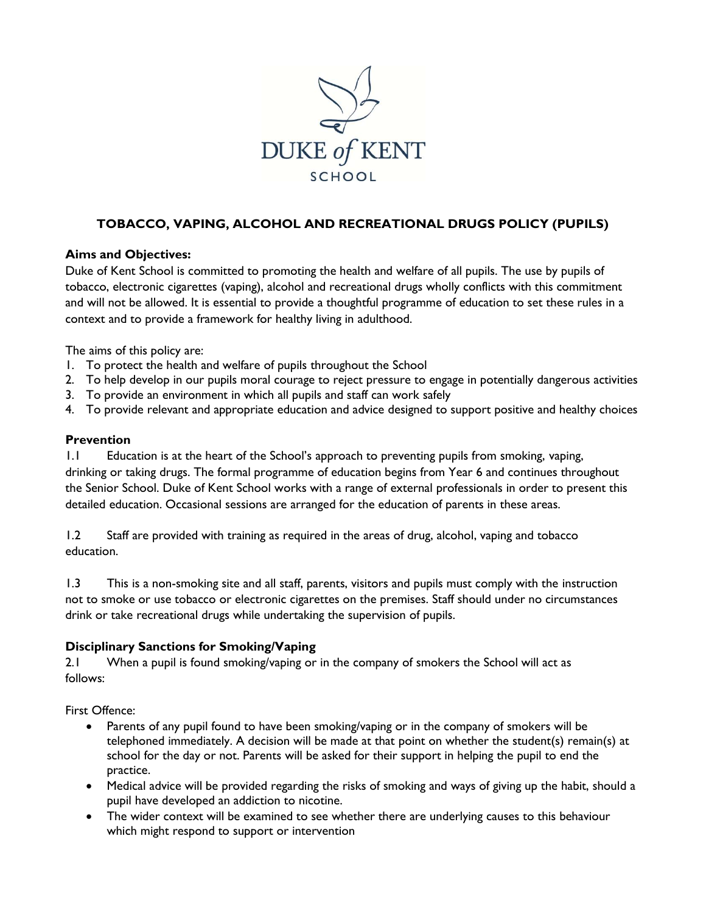

# **TOBACCO, VAPING, ALCOHOL AND RECREATIONAL DRUGS POLICY (PUPILS)**

### **Aims and Objectives:**

Duke of Kent School is committed to promoting the health and welfare of all pupils. The use by pupils of tobacco, electronic cigarettes (vaping), alcohol and recreational drugs wholly conflicts with this commitment and will not be allowed. It is essential to provide a thoughtful programme of education to set these rules in a context and to provide a framework for healthy living in adulthood.

The aims of this policy are:

- 1. To protect the health and welfare of pupils throughout the School
- 2. To help develop in our pupils moral courage to reject pressure to engage in potentially dangerous activities
- 3. To provide an environment in which all pupils and staff can work safely
- 4. To provide relevant and appropriate education and advice designed to support positive and healthy choices

#### **Prevention**

1.1 Education is at the heart of the School's approach to preventing pupils from smoking, vaping, drinking or taking drugs. The formal programme of education begins from Year 6 and continues throughout the Senior School. Duke of Kent School works with a range of external professionals in order to present this detailed education. Occasional sessions are arranged for the education of parents in these areas.

1.2 Staff are provided with training as required in the areas of drug, alcohol, vaping and tobacco education.

1.3 This is a non-smoking site and all staff, parents, visitors and pupils must comply with the instruction not to smoke or use tobacco or electronic cigarettes on the premises. Staff should under no circumstances drink or take recreational drugs while undertaking the supervision of pupils.

### **Disciplinary Sanctions for Smoking/Vaping**

2.1 When a pupil is found smoking/vaping or in the company of smokers the School will act as follows:

First Offence:

- Parents of any pupil found to have been smoking/vaping or in the company of smokers will be telephoned immediately. A decision will be made at that point on whether the student(s) remain(s) at school for the day or not. Parents will be asked for their support in helping the pupil to end the practice.
- Medical advice will be provided regarding the risks of smoking and ways of giving up the habit, should a pupil have developed an addiction to nicotine.
- The wider context will be examined to see whether there are underlying causes to this behaviour which might respond to support or intervention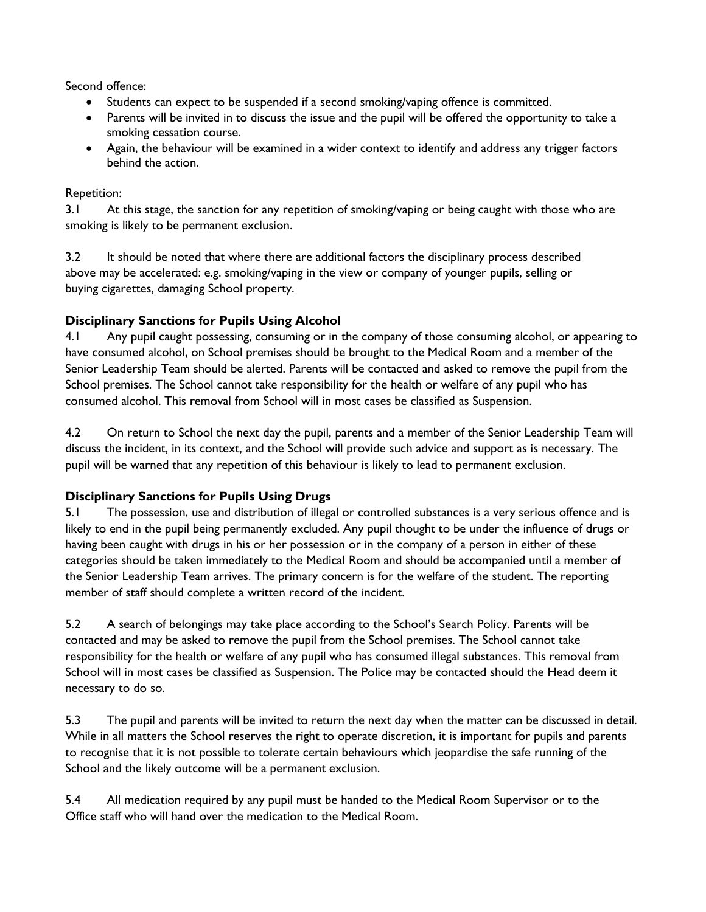Second offence:

- Students can expect to be suspended if a second smoking/vaping offence is committed.
- Parents will be invited in to discuss the issue and the pupil will be offered the opportunity to take a smoking cessation course.
- Again, the behaviour will be examined in a wider context to identify and address any trigger factors behind the action.

### Repetition:

3.1 At this stage, the sanction for any repetition of smoking/vaping or being caught with those who are smoking is likely to be permanent exclusion.

3.2 It should be noted that where there are additional factors the disciplinary process described above may be accelerated: e.g. smoking/vaping in the view or company of younger pupils, selling or buying cigarettes, damaging School property.

## **Disciplinary Sanctions for Pupils Using Alcohol**

4.1 Any pupil caught possessing, consuming or in the company of those consuming alcohol, or appearing to have consumed alcohol, on School premises should be brought to the Medical Room and a member of the Senior Leadership Team should be alerted. Parents will be contacted and asked to remove the pupil from the School premises. The School cannot take responsibility for the health or welfare of any pupil who has consumed alcohol. This removal from School will in most cases be classified as Suspension.

4.2 On return to School the next day the pupil, parents and a member of the Senior Leadership Team will discuss the incident, in its context, and the School will provide such advice and support as is necessary. The pupil will be warned that any repetition of this behaviour is likely to lead to permanent exclusion.

### **Disciplinary Sanctions for Pupils Using Drugs**

5.1 The possession, use and distribution of illegal or controlled substances is a very serious offence and is likely to end in the pupil being permanently excluded. Any pupil thought to be under the influence of drugs or having been caught with drugs in his or her possession or in the company of a person in either of these categories should be taken immediately to the Medical Room and should be accompanied until a member of the Senior Leadership Team arrives. The primary concern is for the welfare of the student. The reporting member of staff should complete a written record of the incident.

5.2 A search of belongings may take place according to the School's Search Policy. Parents will be contacted and may be asked to remove the pupil from the School premises. The School cannot take responsibility for the health or welfare of any pupil who has consumed illegal substances. This removal from School will in most cases be classified as Suspension. The Police may be contacted should the Head deem it necessary to do so.

5.3 The pupil and parents will be invited to return the next day when the matter can be discussed in detail. While in all matters the School reserves the right to operate discretion, it is important for pupils and parents to recognise that it is not possible to tolerate certain behaviours which jeopardise the safe running of the School and the likely outcome will be a permanent exclusion.

5.4 All medication required by any pupil must be handed to the Medical Room Supervisor or to the Office staff who will hand over the medication to the Medical Room.